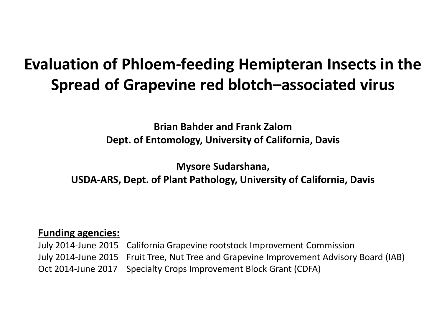#### **Evaluation of Phloem-feeding Hemipteran Insects in the Spread of Grapevine red blotch–associated virus**

**Brian Bahder and Frank Zalom Dept. of Entomology, University of California, Davis**

**Mysore Sudarshana,** 

**USDA-ARS, Dept. of Plant Pathology, University of California, Davis**

#### **Funding agencies:**

July 2014-June 2015 California Grapevine rootstock Improvement Commission July 2014-June 2015 Fruit Tree, Nut Tree and Grapevine Improvement Advisory Board (IAB) Oct 2014-June 2017 Specialty Crops Improvement Block Grant (CDFA)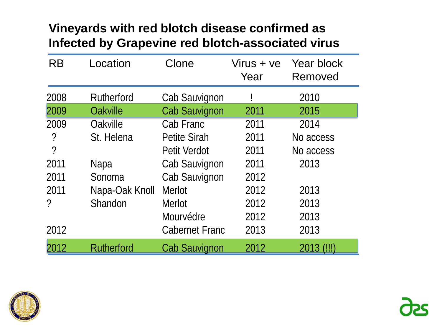#### **Vineyards with red blotch disease confirmed as Infected by Grapevine red blotch-associated virus**

| <b>RB</b>                | Location          | Clone                 | Virus + ve<br>Year | Year block<br>Removed |
|--------------------------|-------------------|-----------------------|--------------------|-----------------------|
| 2008                     | Rutherford        | Cab Sauvignon         |                    | 2010                  |
| 2009                     | Oakville          | <b>Cab Sauvignon</b>  | 2011               | 2015                  |
| 2009                     | Oakville          | Cab Franc             | 2011               | 2014                  |
| ?                        | St. Helena        | <b>Petite Sirah</b>   | 2011               | No access             |
| $\overline{\phantom{0}}$ |                   | <b>Petit Verdot</b>   | 2011               | No access             |
| 2011                     | Napa              | Cab Sauvignon         | 2011               | 2013                  |
| 2011                     | Sonoma            | Cab Sauvignon         | 2012               |                       |
| 2011                     | Napa-Oak Knoll    | <b>Merlot</b>         | 2012               | 2013                  |
| ?                        | Shandon           | Merlot                | 2012               | 2013                  |
|                          |                   | Mourvédre             | 2012               | 2013                  |
| 2012                     |                   | <b>Cabernet Franc</b> | 2013               | 2013                  |
| 2012                     | <b>Rutherford</b> | <b>Cab Sauvignon</b>  | 2012               | 2013 (!!!)            |

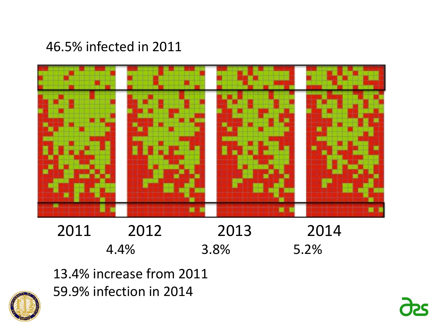#### 46.5% infected in 2011



2011 2012 2013 2014 4.4% 3.8% 5.2%

13.4% increase from 2011 59.9% infection in 2014



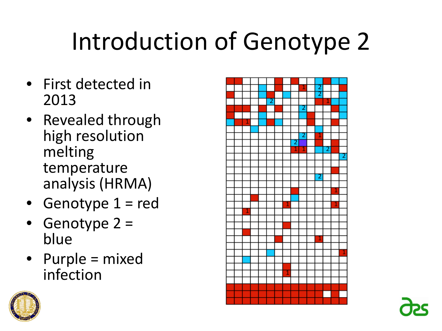# Introduction of Genotype 2

- First detected in 2013
- Revealed through high resolution melting temperature analysis (HRMA)
- Genotype 1 = red
- Genotype 2 = blue
- Purple = mixed infection



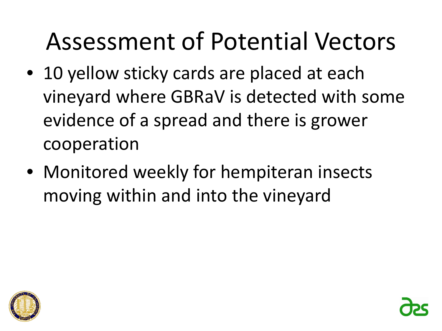- 10 yellow sticky cards are placed at each vineyard where GBRaV is detected with some evidence of a spread and there is grower cooperation
- Monitored weekly for hempiteran insects moving within and into the vineyard



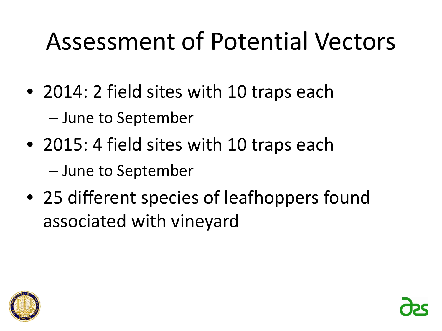- 2014: 2 field sites with 10 traps each – June to September
- 2015: 4 field sites with 10 traps each – June to September
- 25 different species of leafhoppers found associated with vineyard

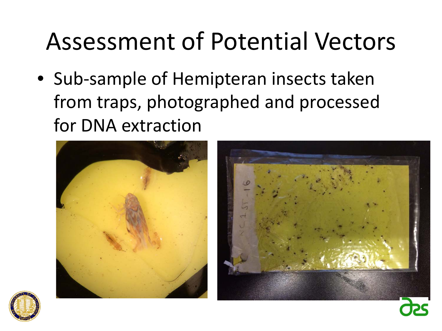• Sub-sample of Hemipteran insects taken from traps, photographed and processed for DNA extraction





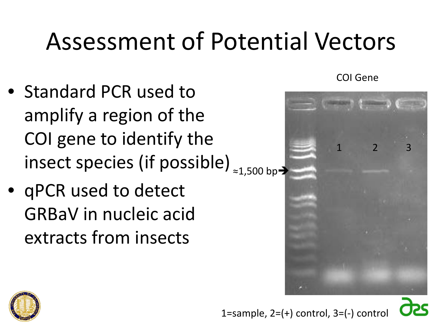- Standard PCR used to amplify a region of the COI gene to identify the insect species (if possible) ≈1,500 bp-
- qPCR used to detect GRBaV in nucleic acid extracts from insects

COI Gene





1=sample,  $2=(+)$  control,  $3=(-)$  control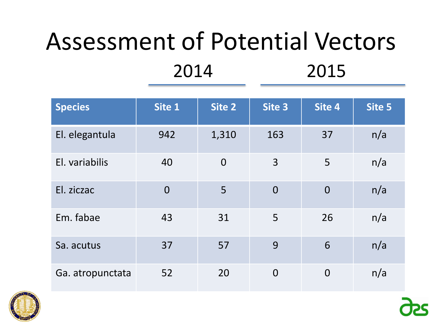| <b>Species</b>   | Site 1         | Site 2         | Site 3         | Site 4         | Site 5 |
|------------------|----------------|----------------|----------------|----------------|--------|
| El. elegantula   | 942            | 1,310          | 163            | 37             | n/a    |
| El. variabilis   | 40             | $\overline{0}$ | 3              | 5              | n/a    |
| El. ziczac       | $\overline{0}$ | 5              | $\overline{0}$ | $\overline{0}$ | n/a    |
| Em. fabae        | 43             | 31             | 5              | 26             | n/a    |
| Sa. acutus       | 37             | 57             | 9              | 6              | n/a    |
| Ga. atropunctata | 52             | 20             | $\overline{0}$ | $\overline{0}$ | n/a    |

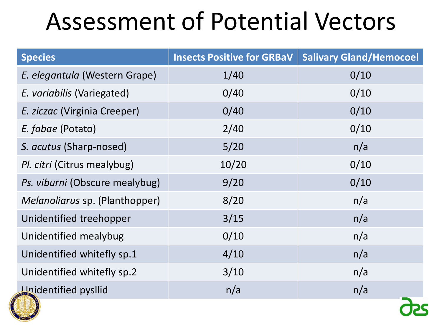| <b>Species</b>                 | <b>Insects Positive for GRBaV</b> | <b>Salivary Gland/Hemocoel</b> |  |
|--------------------------------|-----------------------------------|--------------------------------|--|
| E. elegantula (Western Grape)  | 1/40                              | 0/10                           |  |
| E. variabilis (Variegated)     | 0/40                              | 0/10                           |  |
| E. ziczac (Virginia Creeper)   | 0/40                              | 0/10                           |  |
| E. fabae (Potato)              | 2/40                              | 0/10                           |  |
| S. acutus (Sharp-nosed)        | 5/20                              | n/a                            |  |
| Pl. citri (Citrus mealybug)    | 10/20                             | 0/10                           |  |
| Ps. viburni (Obscure mealybug) | 9/20                              | 0/10                           |  |
| Melanoliarus sp. (Planthopper) | 8/20                              | n/a                            |  |
| Unidentified treehopper        | 3/15                              | n/a                            |  |
| Unidentified mealybug          | 0/10                              | n/a                            |  |
| Unidentified whitefly sp.1     | 4/10                              | n/a                            |  |
| Unidentified whitefly sp.2     | 3/10                              | n/a                            |  |
| <b>Unidentified pysllid</b>    | n/a                               | n/a                            |  |

 $\mathbf{\Omega}^{\mathbf{c}}$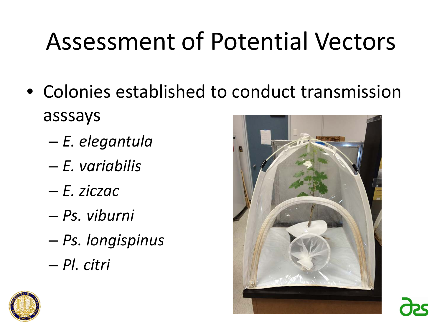- Colonies established to conduct transmission asssays
	- *E. elegantula*
	- *E. variabilis*
	- *E. ziczac*
	- *Ps. viburni*
	- *Ps. longispinus*
	- *Pl. citri*



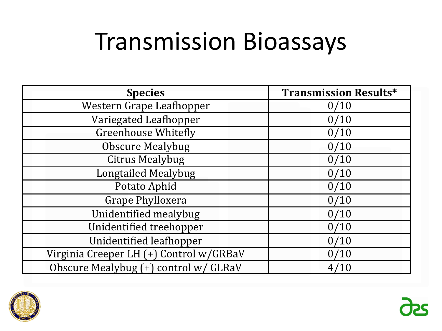#### Transmission Bioassays

| <b>Species</b>                          | <b>Transmission Results*</b> |
|-----------------------------------------|------------------------------|
| Western Grape Leafhopper                | 0/10                         |
| Variegated Leafhopper                   | 0/10                         |
| <b>Greenhouse Whitefly</b>              | 0/10                         |
| <b>Obscure Mealybug</b>                 | 0/10                         |
| <b>Citrus Mealybug</b>                  | 0/10                         |
| <b>Longtailed Mealybug</b>              | 0/10                         |
| Potato Aphid                            | 0/10                         |
| <b>Grape Phylloxera</b>                 | 0/10                         |
| Unidentified mealybug                   | 0/10                         |
| Unidentified treehopper                 | 0/10                         |
| Unidentified leafhopper                 | 0/10                         |
| Virginia Creeper LH (+) Control w/GRBaV | 0/10                         |
| Obscure Mealybug (+) control w/ GLRaV   | 4/10                         |



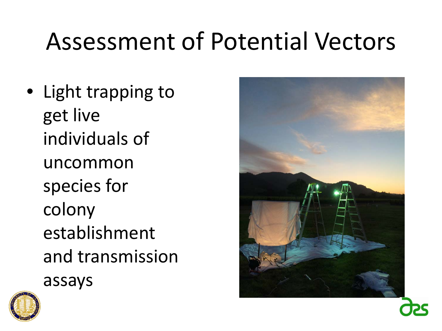• Light trapping to get live individuals of uncommon species for colony establishment and transmission assays



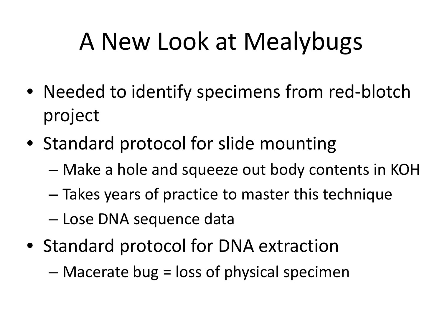## A New Look at Mealybugs

- Needed to identify specimens from red-blotch project
- Standard protocol for slide mounting
	- Make a hole and squeeze out body contents in KOH
	- Takes years of practice to master this technique
	- Lose DNA sequence data
- Standard protocol for DNA extraction
	- Macerate bug = loss of physical specimen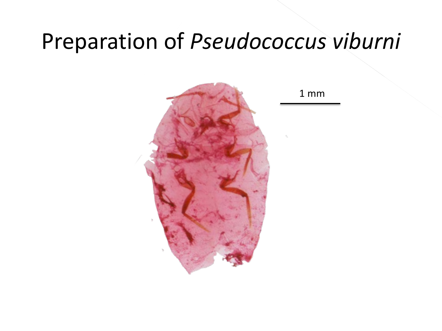#### Preparation of *Pseudococcus viburni*



1 mm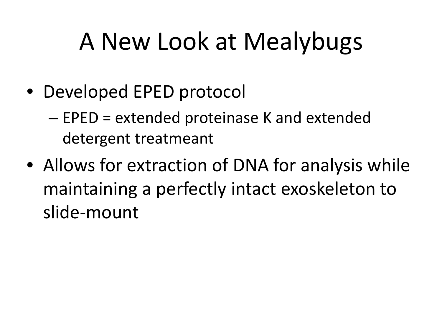## A New Look at Mealybugs

• Developed EPED protocol

– EPED = extended proteinase K and extended detergent treatmeant

• Allows for extraction of DNA for analysis while maintaining a perfectly intact exoskeleton to slide-mount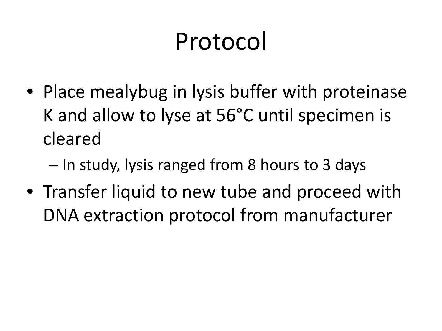## Protocol

• Place mealybug in lysis buffer with proteinase K and allow to lyse at 56°C until specimen is cleared

– In study, lysis ranged from 8 hours to 3 days

• Transfer liquid to new tube and proceed with DNA extraction protocol from manufacturer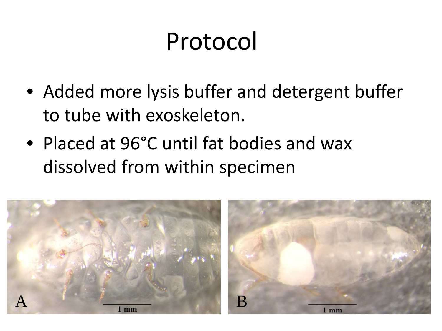#### Protocol

- Added more lysis buffer and detergent buffer to tube with exoskeleton.
- Placed at 96°C until fat bodies and wax dissolved from within specimen

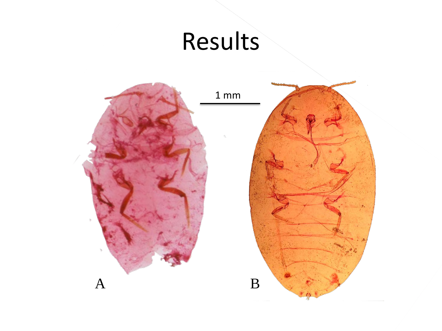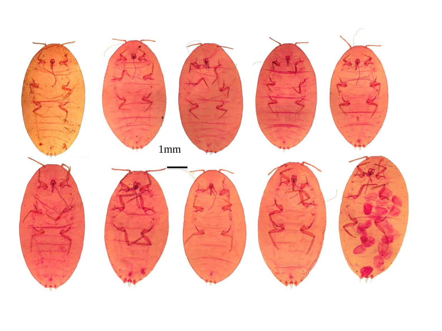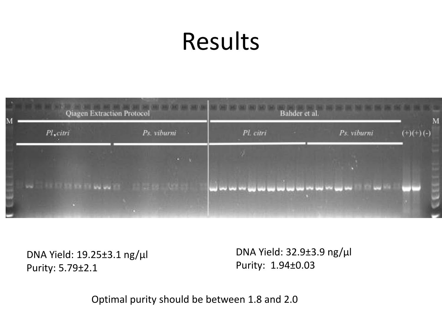## Results



DNA Yield: 19.25±3.1 ng/µl Purity: 5.79±2.1

DNA Yield: 32.9±3.9 ng/µl Purity: 1.94±0.03

Optimal purity should be between 1.8 and 2.0